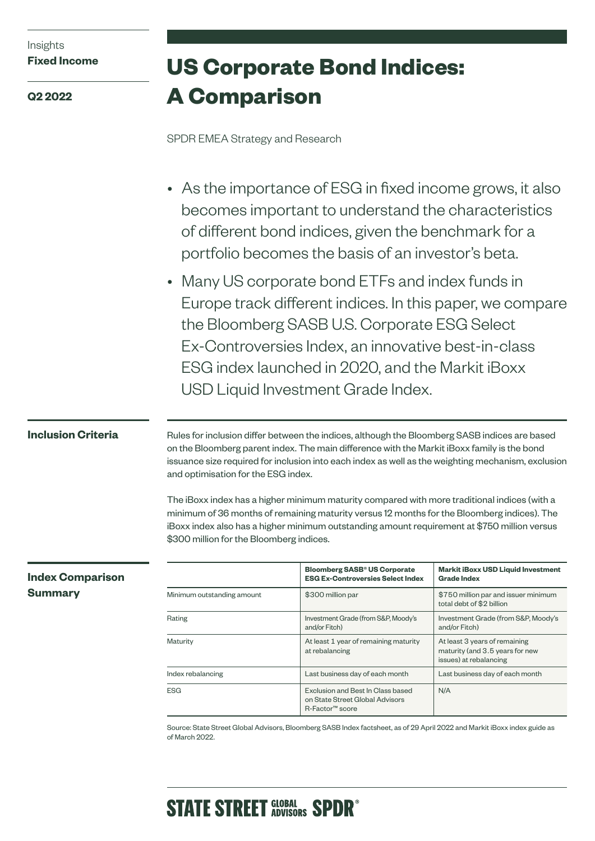| Insights |                     |
|----------|---------------------|
|          | <b>Fixed Income</b> |

**Q2 2022**

# **US Corporate Bond Indices: A Comparison**

SPDR EMEA Strategy and Research

- As the importance of ESG in fixed income grows, it also becomes important to understand the characteristics of different bond indices, given the benchmark for a portfolio becomes the basis of an investor's beta.
- Many US corporate bond ETFs and index funds in Europe track different indices. In this paper, we compare the Bloomberg SASB U.S. Corporate ESG Select Ex-Controversies Index, an innovative best-in-class ESG index launched in 2020, and the Markit iBoxx USD Liquid Investment Grade Index.

# **Inclusion Criteria**

Rules for inclusion differ between the indices, although the Bloomberg SASB indices are based on the Bloomberg parent index. The main difference with the Markit iBoxx family is the bond issuance size required for inclusion into each index as well as the weighting mechanism, exclusion and optimisation for the ESG index.

The iBoxx index has a higher minimum maturity compared with more traditional indices (with a minimum of 36 months of remaining maturity versus 12 months for the Bloomberg indices). The iBoxx index also has a higher minimum outstanding amount requirement at \$750 million versus \$300 million for the Bloomberg indices.

|                            | <b>Bloomberg SASB<sup>®</sup> US Corporate</b><br><b>ESG Ex-Controversies Select Index</b>                                                            | <b>Markit iBoxx USD Liquid Investment</b><br>Grade Index          |
|----------------------------|-------------------------------------------------------------------------------------------------------------------------------------------------------|-------------------------------------------------------------------|
| Minimum outstanding amount | \$300 million par                                                                                                                                     | \$750 million par and issuer minimum<br>total debt of \$2 billion |
| Rating                     | Investment Grade (from S&P, Moody's<br>and/or Fitch)                                                                                                  | Investment Grade (from S&P, Moody's<br>and/or Fitch)              |
| Maturity                   | At least 1 year of remaining maturity<br>At least 3 years of remaining<br>at rebalancing<br>maturity (and 3.5 years for new<br>issues) at rebalancing |                                                                   |
| Index rebalancing          | Last business day of each month                                                                                                                       | Last business day of each month                                   |
| <b>ESG</b>                 | Exclusion and Best In Class based<br>on State Street Global Advisors<br>R-Factor™ score                                                               | N/A                                                               |

Source: State Street Global Advisors, Bloomberg SASB Index factsheet, as of 29 April 2022 and Markit iBoxx index guide as of March 2022.

# **Index Comparison Summary**

# **STATE STREET GLOBAL SPDR<sup>®</sup>**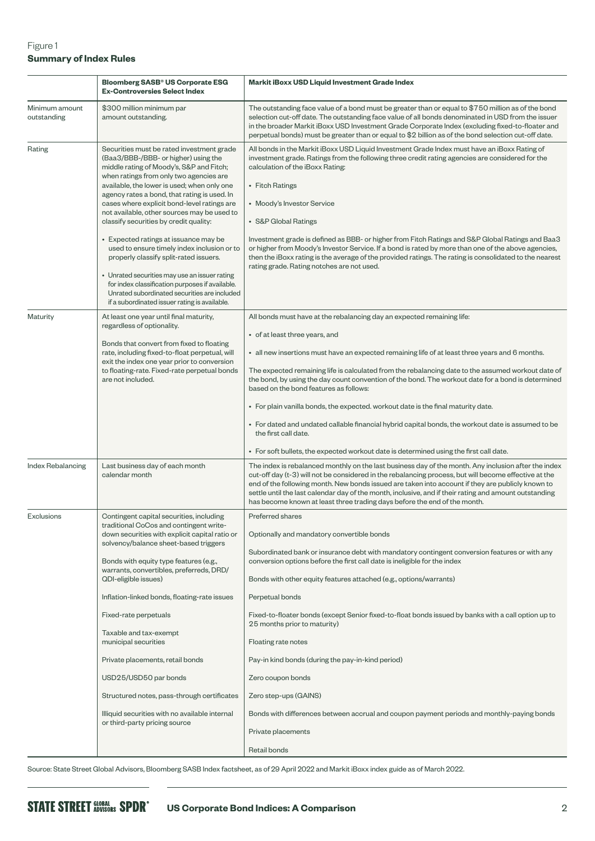# Figure 1 **Summary of Index Rules**

|                               | <b>Bloomberg SASB<sup>®</sup> US Corporate ESG</b><br><b>Ex-Controversies Select Index</b>                                                                                                                                                                                                                                                                                                                                                                                                                                                                                                                                                                                                                                                             | Markit iBoxx USD Liquid Investment Grade Index                                                                                                                                                                                                                                                                                                                                                                                                                                                                                                                                                                                                                                                                                                                                 |  |  |
|-------------------------------|--------------------------------------------------------------------------------------------------------------------------------------------------------------------------------------------------------------------------------------------------------------------------------------------------------------------------------------------------------------------------------------------------------------------------------------------------------------------------------------------------------------------------------------------------------------------------------------------------------------------------------------------------------------------------------------------------------------------------------------------------------|--------------------------------------------------------------------------------------------------------------------------------------------------------------------------------------------------------------------------------------------------------------------------------------------------------------------------------------------------------------------------------------------------------------------------------------------------------------------------------------------------------------------------------------------------------------------------------------------------------------------------------------------------------------------------------------------------------------------------------------------------------------------------------|--|--|
| Minimum amount<br>outstanding | \$300 million minimum par<br>amount outstanding.                                                                                                                                                                                                                                                                                                                                                                                                                                                                                                                                                                                                                                                                                                       | The outstanding face value of a bond must be greater than or equal to \$750 million as of the bond<br>selection cut-off date. The outstanding face value of all bonds denominated in USD from the issuer<br>in the broader Markit iBoxx USD Investment Grade Corporate Index (excluding fixed-to-floater and<br>perpetual bonds) must be greater than or equal to \$2 billion as of the bond selection cut-off date.                                                                                                                                                                                                                                                                                                                                                           |  |  |
| Rating                        | Securities must be rated investment grade<br>(Baa3/BBB-/BBB- or higher) using the<br>middle rating of Moody's, S&P and Fitch;<br>when ratings from only two agencies are<br>available, the lower is used; when only one<br>agency rates a bond, that rating is used. In<br>cases where explicit bond-level ratings are<br>not available, other sources may be used to<br>classify securities by credit quality:<br>• Expected ratings at issuance may be<br>used to ensure timely index inclusion or to<br>properly classify split-rated issuers.<br>• Unrated securities may use an issuer rating<br>for index classification purposes if available.<br>Unrated subordinated securities are included<br>if a subordinated issuer rating is available. | All bonds in the Markit iBoxx USD Liquid Investment Grade Index must have an iBoxx Rating of<br>investment grade. Ratings from the following three credit rating agencies are considered for the<br>calculation of the iBoxx Rating:<br>• Fitch Ratings<br>• Moody's Investor Service<br>• S&P Global Ratings<br>Investment grade is defined as BBB- or higher from Fitch Ratings and S&P Global Ratings and Baa3<br>or higher from Moody's Investor Service. If a bond is rated by more than one of the above agencies,<br>then the iBoxx rating is the average of the provided ratings. The rating is consolidated to the nearest<br>rating grade. Rating notches are not used.                                                                                              |  |  |
| Maturity                      | At least one year until final maturity,<br>regardless of optionality.<br>Bonds that convert from fixed to floating<br>rate, including fixed-to-float perpetual, will<br>exit the index one year prior to conversion<br>to floating-rate. Fixed-rate perpetual bonds<br>are not included.                                                                                                                                                                                                                                                                                                                                                                                                                                                               | All bonds must have at the rebalancing day an expected remaining life:<br>• of at least three years, and<br>• all new insertions must have an expected remaining life of at least three years and 6 months.<br>The expected remaining life is calculated from the rebalancing date to the assumed workout date of<br>the bond, by using the day count convention of the bond. The workout date for a bond is determined<br>based on the bond features as follows:<br>• For plain vanilla bonds, the expected. workout date is the final maturity date.<br>• For dated and undated callable financial hybrid capital bonds, the workout date is assumed to be<br>the first call date.<br>• For soft bullets, the expected workout date is determined using the first call date. |  |  |
| Index Rebalancing             | Last business day of each month<br>calendar month                                                                                                                                                                                                                                                                                                                                                                                                                                                                                                                                                                                                                                                                                                      | The index is rebalanced monthly on the last business day of the month. Any inclusion after the index<br>cut-off day (t-3) will not be considered in the rebalancing process, but will become effective at the<br>end of the following month. New bonds issued are taken into account if they are publicly known to<br>settle until the last calendar day of the month, inclusive, and if their rating and amount outstanding<br>has become known at least three trading days before the end of the month.                                                                                                                                                                                                                                                                      |  |  |
| Exclusions                    | Contingent capital securities, including<br>traditional CoCos and contingent write-<br>down securities with explicit capital ratio or<br>solvency/balance sheet-based triggers<br>Bonds with equity type features (e.g.,<br>warrants, convertibles, preferreds, DRD/<br>QDI-eligible issues)<br>Inflation-linked bonds, floating-rate issues<br>Fixed-rate perpetuals<br>Taxable and tax-exempt<br>municipal securities<br>Private placements, retail bonds<br>USD25/USD50 par bonds<br>Structured notes, pass-through certificates<br>Illiquid securities with no available internal<br>or third-party pricing source                                                                                                                                 | Preferred shares<br>Optionally and mandatory convertible bonds<br>Subordinated bank or insurance debt with mandatory contingent conversion features or with any<br>conversion options before the first call date is ineligible for the index<br>Bonds with other equity features attached (e.g., options/warrants)<br>Perpetual bonds<br>Fixed-to-floater bonds (except Senior fixed-to-float bonds issued by banks with a call option up to<br>25 months prior to maturity)<br>Floating rate notes<br>Pay-in kind bonds (during the pay-in-kind period)<br>Zero coupon bonds<br>Zero step-ups (GAINS)<br>Bonds with differences between accrual and coupon payment periods and monthly-paying bonds<br>Private placements<br>Retail bonds                                     |  |  |

Source: State Street Global Advisors, Bloomberg SASB Index factsheet, as of 29 April 2022 and Markit iBoxx index guide as of March 2022.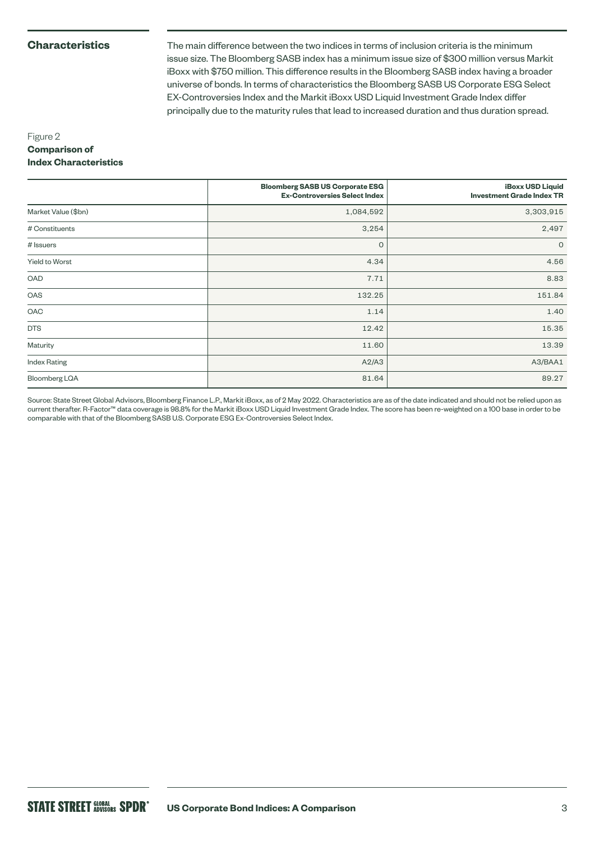# **Characteristics**

The main difference between the two indices in terms of inclusion criteria is the minimum issue size. The Bloomberg SASB index has a minimum issue size of \$300 million versus Markit iBoxx with \$750 million. This difference results in the Bloomberg SASB index having a broader universe of bonds. In terms of characteristics the Bloomberg SASB US Corporate ESG Select EX-Controversies Index and the Markit iBoxx USD Liquid Investment Grade Index differ principally due to the maturity rules that lead to increased duration and thus duration spread.

# Figure 2 **Comparison of Index Characteristics**

|                     | <b>Bloomberg SASB US Corporate ESG</b><br><b>Ex-Controversies Select Index</b> | <b>iBoxx USD Liquid</b><br><b>Investment Grade Index TR</b> |
|---------------------|--------------------------------------------------------------------------------|-------------------------------------------------------------|
| Market Value (\$bn) | 1,084,592                                                                      | 3,303,915                                                   |
| # Constituents      | 3,254                                                                          | 2,497                                                       |
| # Issuers           | $\mathbf{O}$                                                                   | $\circ$                                                     |
| Yield to Worst      | 4.34                                                                           | 4.56                                                        |
| OAD                 | 7.71                                                                           | 8.83                                                        |
| OAS                 | 132.25                                                                         | 151.84                                                      |
| OAC                 | 1.14                                                                           | 1.40                                                        |
| <b>DTS</b>          | 12.42                                                                          | 15.35                                                       |
| Maturity            | 11.60                                                                          | 13.39                                                       |
| <b>Index Rating</b> | A2/A3                                                                          | A3/BAA1                                                     |
| Bloomberg LQA       | 81.64                                                                          | 89.27                                                       |

Source: State Street Global Advisors, Bloomberg Finance L.P., Markit iBoxx, as of 2 May 2022. Characteristics are as of the date indicated and should not be relied upon as current therafter. R-Factor™ data coverage is 98.8% for the Markit iBoxx USD Liquid Investment Grade Index. The score has been re-weighted on a 100 base in order to be comparable with that of the Bloomberg SASB U.S. Corporate ESG Ex-Controversies Select Index.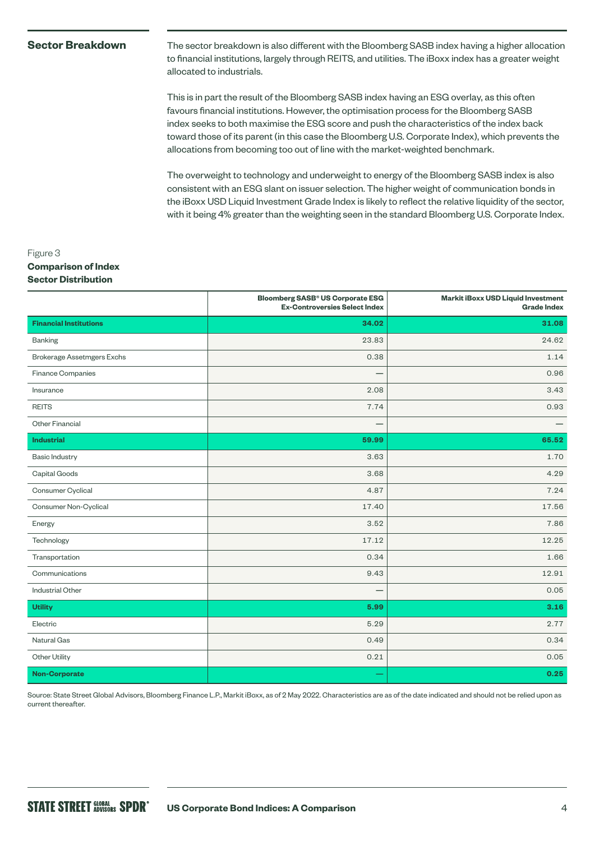### **Sector Breakdown**

The sector breakdown is also different with the Bloomberg SASB index having a higher allocation to financial institutions, largely through REITS, and utilities. The iBoxx index has a greater weight allocated to industrials.

This is in part the result of the Bloomberg SASB index having an ESG overlay, as this often favours financial institutions. However, the optimisation process for the Bloomberg SASB index seeks to both maximise the ESG score and push the characteristics of the index back toward those of its parent (in this case the Bloomberg U.S. Corporate Index), which prevents the allocations from becoming too out of line with the market-weighted benchmark.

The overweight to technology and underweight to energy of the Bloomberg SASB index is also consistent with an ESG slant on issuer selection. The higher weight of communication bonds in the iBoxx USD Liquid Investment Grade Index is likely to reflect the relative liquidity of the sector, with it being 4% greater than the weighting seen in the standard Bloomberg U.S. Corporate Index.

# Figure 3 **Comparison of Index Sector Distribution**

|                                   | <b>Bloomberg SASB<sup>®</sup> US Corporate ESG</b><br><b>Ex-Controversies Select Index</b> | <b>Markit iBoxx USD Liquid Investment</b><br><b>Grade Index</b> |
|-----------------------------------|--------------------------------------------------------------------------------------------|-----------------------------------------------------------------|
| <b>Financial Institutions</b>     | 34.02                                                                                      | 31.08                                                           |
| <b>Banking</b>                    | 23.83                                                                                      | 24.62                                                           |
| <b>Brokerage Assetmgers Exchs</b> | 0.38                                                                                       | 1.14                                                            |
| Finance Companies                 |                                                                                            | 0.96                                                            |
| Insurance                         | 2.08                                                                                       | 3.43                                                            |
| <b>REITS</b>                      | 7.74                                                                                       | 0.93                                                            |
| Other Financial                   | -                                                                                          |                                                                 |
| <b>Industrial</b>                 | 59.99                                                                                      | 65.52                                                           |
| <b>Basic Industry</b>             | 3.63                                                                                       | 1.70                                                            |
| Capital Goods                     | 3.68                                                                                       | 4.29                                                            |
| Consumer Cyclical                 | 4.87                                                                                       | 7.24                                                            |
| Consumer Non-Cyclical             | 17.40                                                                                      | 17.56                                                           |
| Energy                            | 3.52                                                                                       | 7.86                                                            |
| Technology                        | 17.12                                                                                      | 12.25                                                           |
| Transportation                    | 0.34                                                                                       | 1.66                                                            |
| Communications                    | 9.43                                                                                       | 12.91                                                           |
| <b>Industrial Other</b>           | -                                                                                          | 0.05                                                            |
| <b>Utility</b>                    | 5.99                                                                                       | 3.16                                                            |
| Electric                          | 5.29                                                                                       | 2.77                                                            |
| Natural Gas                       | 0.49                                                                                       | 0.34                                                            |
| Other Utility                     | 0.21                                                                                       | 0.05                                                            |
| <b>Non-Corporate</b>              |                                                                                            | 0.25                                                            |

Source: State Street Global Advisors, Bloomberg Finance L.P., Markit iBoxx, as of 2 May 2022. Characteristics are as of the date indicated and should not be relied upon as current thereafter.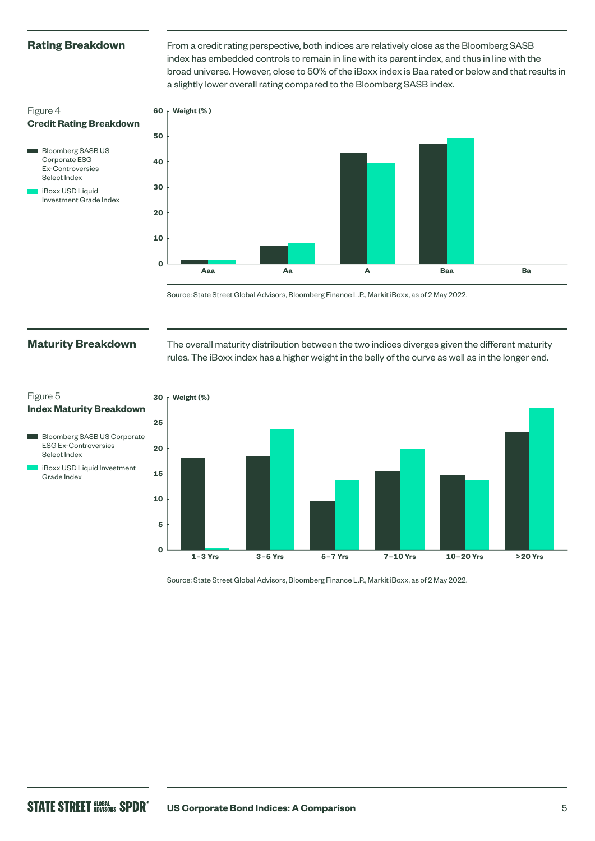## **Rating Breakdown**

From a credit rating perspective, both indices are relatively close as the Bloomberg SASB index has embedded controls to remain in line with its parent index, and thus in line with the broad universe. However, close to 50% of the iBoxx index is Baa rated or below and that results in a slightly lower overall rating compared to the Bloomberg SASB index.

# Figure 4 **Credit Rating Breakdown**





Source: State Street Global Advisors, Bloomberg Finance L.P., Markit iBoxx, as of 2 May 2022.

# **Maturity Breakdown**

ESG Ex-Controversies Select Index

Grade Index

Figure 5

The overall maturity distribution between the two indices diverges given the different maturity rules. The iBoxx index has a higher weight in the belly of the curve as well as in the longer end.



Source: State Street Global Advisors, Bloomberg Finance L.P., Markit iBoxx, as of 2 May 2022.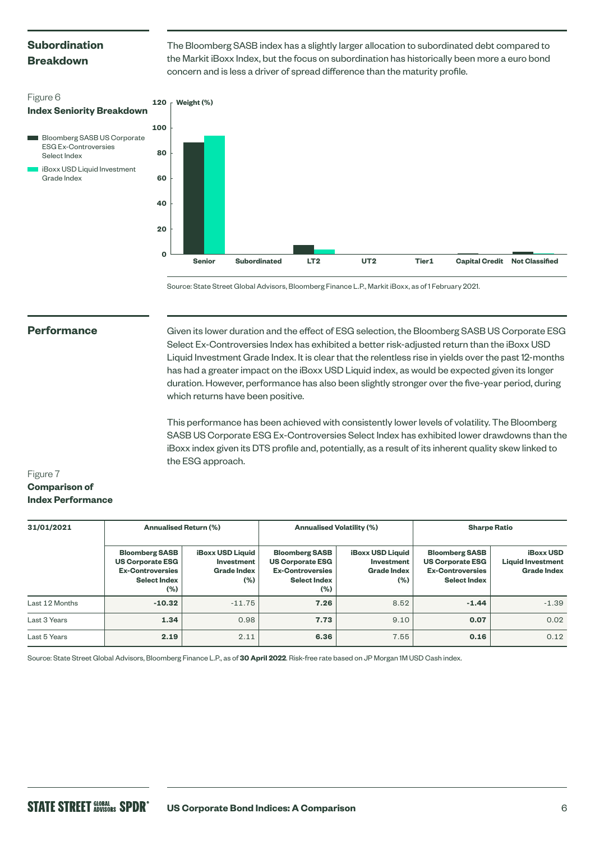# **Subordination Breakdown**

ESG Ex-Controversies Select Index

Grade Index

iBoxx USD Liquid Investment

Figure 6

The Bloomberg SASB index has a slightly larger allocation to subordinated debt compared to the Markit iBoxx Index, but the focus on subordination has historically been more a euro bond concern and is less a driver of spread difference than the maturity profile.



Source: State Street Global Advisors, Bloomberg Finance L.P., Markit iBoxx, as of 1 February 2021.

#### **Performance**

Given its lower duration and the effect of ESG selection, the Bloomberg SASB US Corporate ESG Select Ex-Controversies Index has exhibited a better risk-adjusted return than the iBoxx USD Liquid Investment Grade Index. It is clear that the relentless rise in yields over the past 12-months has had a greater impact on the iBoxx USD Liquid index, as would be expected given its longer duration. However, performance has also been slightly stronger over the five-year period, during which returns have been positive.

This performance has been achieved with consistently lower levels of volatility. The Bloomberg SASB US Corporate ESG Ex-Controversies Select Index has exhibited lower drawdowns than the iBoxx index given its DTS profile and, potentially, as a result of its inherent quality skew linked to the ESG approach.

# Figure 7 **Comparison of Index Performance**

| 31/01/2021     | <b>Annualised Return (%)</b>                                                                                  |                                                                        | <b>Annualised Volatility (%)</b>                                                                          |                                                                    | <b>Sharpe Ratio</b>                                                                                |                                                                    |
|----------------|---------------------------------------------------------------------------------------------------------------|------------------------------------------------------------------------|-----------------------------------------------------------------------------------------------------------|--------------------------------------------------------------------|----------------------------------------------------------------------------------------------------|--------------------------------------------------------------------|
|                | <b>Bloomberg SASB</b><br><b>US Corporate ESG</b><br><b>Ex-Controversies</b><br><b>Select Index</b><br>$(\% )$ | <b>iBoxx USD Liquid</b><br>Investment<br><b>Grade Index</b><br>$(\% )$ | <b>Bloomberg SASB</b><br><b>US Corporate ESG</b><br><b>Ex-Controversies</b><br><b>Select Index</b><br>(%) | <b>iBoxx USD Liquid</b><br>Investment<br><b>Grade Index</b><br>(%) | <b>Bloomberg SASB</b><br><b>US Corporate ESG</b><br><b>Ex-Controversies</b><br><b>Select Index</b> | <b>iBoxx USD</b><br><b>Liquid Investment</b><br><b>Grade Index</b> |
| Last 12 Months | $-10.32$                                                                                                      | $-11.75$                                                               | 7.26                                                                                                      | 8.52                                                               | $-1.44$                                                                                            | $-1.39$                                                            |
| Last 3 Years   | 1.34                                                                                                          | 0.98                                                                   | 7.73                                                                                                      | 9.10                                                               | 0.07                                                                                               | 0.02                                                               |
| Last 5 Years   | 2.19                                                                                                          | 2.11                                                                   | 6.36                                                                                                      | 7.55                                                               | 0.16                                                                                               | 0.12                                                               |

Source: State Street Global Advisors, Bloomberg Finance L.P., as of **30 April 2022**. Risk-free rate based on JP Morgan 1M USD Cash index.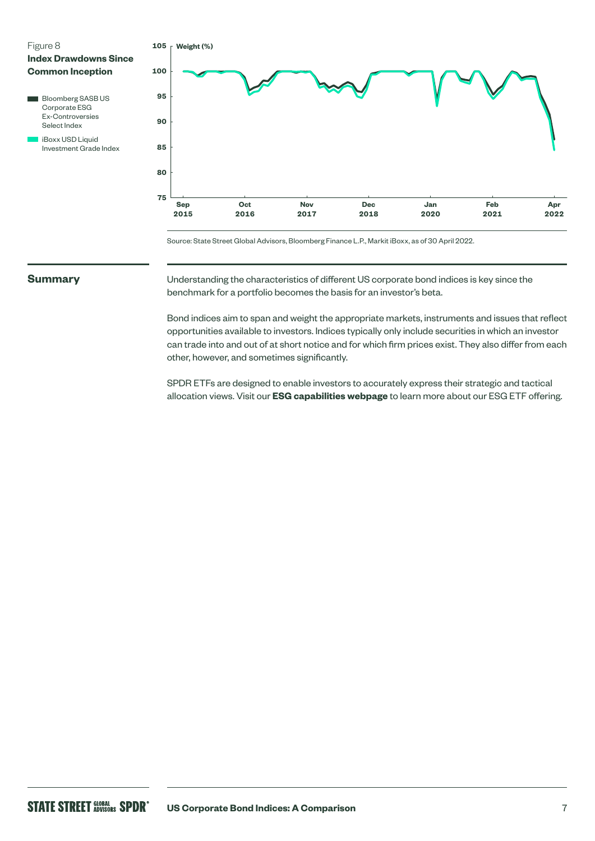

| DIUUITIDEI & OAOD UO    |
|-------------------------|
| Corporate ESG           |
| <b>Ex-Controversies</b> |
| Select Index            |
| iBoxx USD Liquid        |
| Investment Grade Index  |



Source: State Street Global Advisors, Bloomberg Finance L.P., Markit iBoxx, as of 30 April 2022.

## **Summary**

I

Understanding the characteristics of different US corporate bond indices is key since the benchmark for a portfolio becomes the basis for an investor's beta.

Bond indices aim to span and weight the appropriate markets, instruments and issues that reflect opportunities available to investors. Indices typically only include securities in which an investor can trade into and out of at short notice and for which firm prices exist. They also differ from each other, however, and sometimes significantly.

SPDR ETFs are designed to enable investors to accurately express their strategic and tactical allocation views. Visit our **[ESG capabilities webpage](https://www.ssga.com/uk/en_gb/institutional/etfs/capabilities/esg/investment-solutions)** to learn more about our ESG ETF offering.